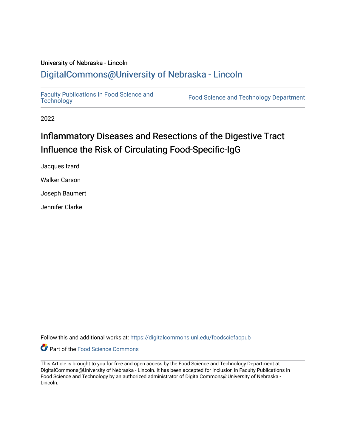## University of Nebraska - Lincoln [DigitalCommons@University of Nebraska - Lincoln](https://digitalcommons.unl.edu/)

[Faculty Publications in Food Science and](https://digitalcommons.unl.edu/foodsciefacpub)

Food Science and [Technology](https://digitalcommons.unl.edu/foodsciefacpub) Department

2022

## Inflammatory Diseases and Resections of the Digestive Tract Influence the Risk of Circulating Food-Specific-IgG

Jacques Izard

Walker Carson

Joseph Baumert

Jennifer Clarke

Follow this and additional works at: [https://digitalcommons.unl.edu/foodsciefacpub](https://digitalcommons.unl.edu/foodsciefacpub?utm_source=digitalcommons.unl.edu%2Ffoodsciefacpub%2F491&utm_medium=PDF&utm_campaign=PDFCoverPages) 



This Article is brought to you for free and open access by the Food Science and Technology Department at DigitalCommons@University of Nebraska - Lincoln. It has been accepted for inclusion in Faculty Publications in Food Science and Technology by an authorized administrator of DigitalCommons@University of Nebraska -Lincoln.